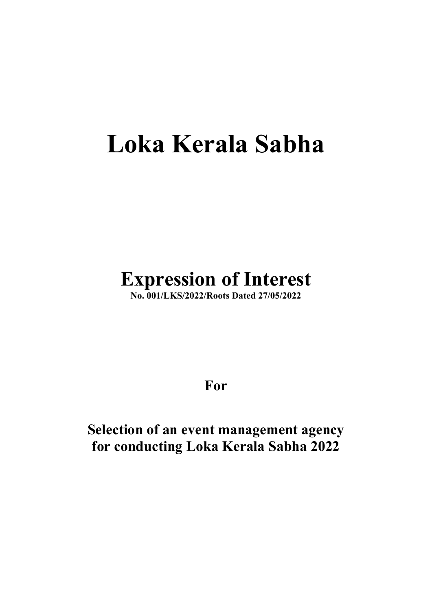# Loka Kerala Sabha

# Expression of Interest

No. 001/LKS/2022/Roots Dated 27/05/2022

For

Selection of an event management agency for conducting Loka Kerala Sabha 2022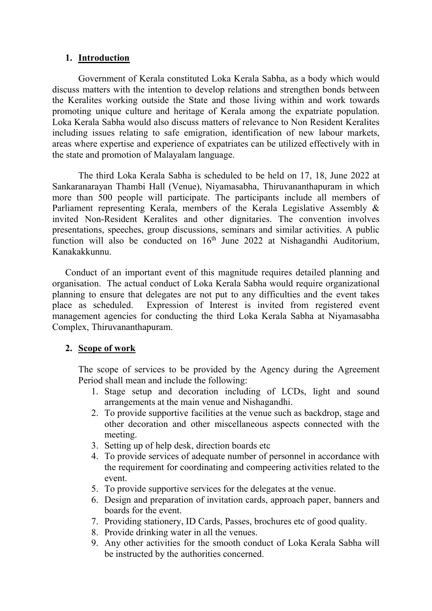#### 1. Introduction

Government of Kerala constituted Loka Kerala Sabha, as a body which would discuss matters with the intention to develop relations and strengthen bonds between the Keralites working outside the State and those living within and work towards promoting unique culture and heritage of Kerala among the expatriate population. Loka Kerala Sabha would also discuss matters of relevance to Non Resident Keralites including issues relating to safe emigration, identification of new labour markets, areas where expertise and experience of expatriates can be utilized effectively with in the state and promotion of Malayalam language.

The third Loka Kerala Sabha is scheduled to be held on 17, 18, June 2022 at Sankaranarayan Thambi Hall (Venue), Niyamasabha, Thiruvananthapuram in which more than 500 people will participate. The participants include all members of Parliament representing Kerala, members of the Kerala Legislative Assembly & invited Non-Resident Keralites and other dignitaries. The convention involves presentations, speeches, group discussions, seminars and similar activities. A public function will also be conducted on 16th June 2022 at Nishagandhi Auditorium, Kanakakkunnu.

Conduct of an important event of this magnitude requires detailed planning and organisation. The actual conduct of Loka Kerala Sabha would require organizational planning to ensure that delegates are not put to any difficulties and the event takes place as scheduled. Expression of Interest is invited from registered event management agencies for conducting the third Loka Kerala Sabha at Niyamasabha Complex, Thiruvananthapuram.

#### 2. Scope of work

The scope of services to be provided by the Agency during the Agreement Period shall mean and include the following:

- 1. Stage setup and decoration including of LCDs, light and sound arrangements at the main venue and Nishagandhi.
- 2. To provide supportive facilities at the venue such as backdrop, stage and other decoration and other miscellaneous aspects connected with the meeting.
- 3. Setting up of help desk, direction boards etc
- 4. To provide services of adequate number of personnel in accordance with the requirement for coordinating and compeering activities related to the event.
- 5. To provide supportive services for the delegates at the venue.
- 6. Design and preparation of invitation cards, approach paper, banners and boards for the event.
- 7. Providing stationery, ID Cards, Passes, brochures etc of good quality.
- 8. Provide drinking water in all the venues.
- 9. Any other activities for the smooth conduct of Loka Kerala Sabha will be instructed by the authorities concerned.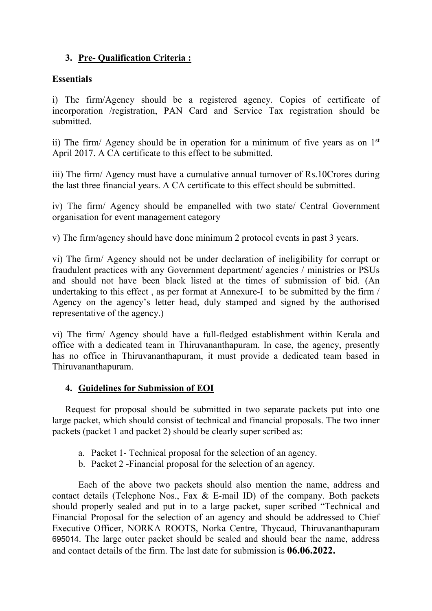#### 3. Pre- Qualification Criteria :

#### **Essentials**

i) The firm/Agency should be a registered agency. Copies of certificate of incorporation /registration, PAN Card and Service Tax registration should be submitted.

ii) The firm/ Agency should be in operation for a minimum of five years as on  $1<sup>st</sup>$ April 2017. A CA certificate to this effect to be submitted.

iii) The firm/ Agency must have a cumulative annual turnover of Rs.10Crores during the last three financial years. A CA certificate to this effect should be submitted.

iv) The firm/ Agency should be empanelled with two state/ Central Government organisation for event management category

v) The firm/agency should have done minimum 2 protocol events in past 3 years.

vi) The firm/ Agency should not be under declaration of ineligibility for corrupt or fraudulent practices with any Government department/ agencies / ministries or PSUs and should not have been black listed at the times of submission of bid. (An undertaking to this effect , as per format at Annexure-I to be submitted by the firm / Agency on the agency's letter head, duly stamped and signed by the authorised representative of the agency.)

vi) The firm/ Agency should have a full-fledged establishment within Kerala and office with a dedicated team in Thiruvananthapuram. In case, the agency, presently has no office in Thiruvananthapuram, it must provide a dedicated team based in Thiruvananthapuram.

#### 4. Guidelines for Submission of EOI

Request for proposal should be submitted in two separate packets put into one large packet, which should consist of technical and financial proposals. The two inner packets (packet 1 and packet 2) should be clearly super scribed as:

- a. Packet 1- Technical proposal for the selection of an agency.
- b. Packet 2 -Financial proposal for the selection of an agency.

Each of the above two packets should also mention the name, address and contact details (Telephone Nos., Fax & E-mail ID) of the company. Both packets should properly sealed and put in to a large packet, super scribed "Technical and Financial Proposal for the selection of an agency and should be addressed to Chief Executive Officer, NORKA ROOTS, Norka Centre, Thycaud, Thiruvananthapuram 695014. The large outer packet should be sealed and should bear the name, address and contact details of the firm. The last date for submission is 06.06.2022.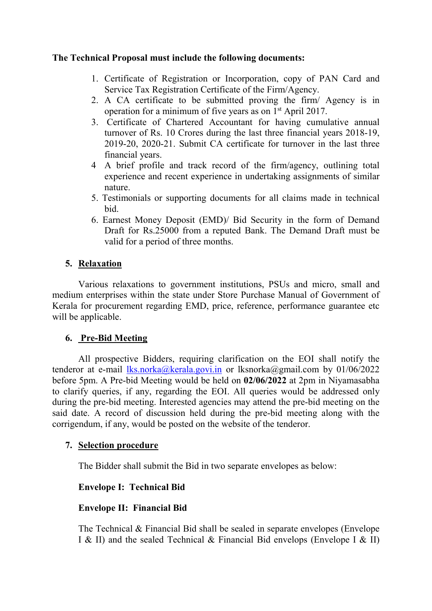#### The Technical Proposal must include the following documents:

- 1. Certificate of Registration or Incorporation, copy of PAN Card and Service Tax Registration Certificate of the Firm/Agency.
- 2. A CA certificate to be submitted proving the firm/ Agency is in operation for a minimum of five years as on 1st April 2017.
- 3. Certificate of Chartered Accountant for having cumulative annual turnover of Rs. 10 Crores during the last three financial years 2018-19, 2019-20, 2020-21. Submit CA certificate for turnover in the last three financial years.
- 4 A brief profile and track record of the firm/agency, outlining total experience and recent experience in undertaking assignments of similar nature.
- 5. Testimonials or supporting documents for all claims made in technical bid.
- 6. Earnest Money Deposit (EMD)/ Bid Security in the form of Demand Draft for Rs.25000 from a reputed Bank. The Demand Draft must be valid for a period of three months.

#### 5. Relaxation

Various relaxations to government institutions, PSUs and micro, small and medium enterprises within the state under Store Purchase Manual of Government of Kerala for procurement regarding EMD, price, reference, performance guarantee etc will be applicable.

#### 6. Pre-Bid Meeting

All prospective Bidders, requiring clarification on the EOI shall notify the tenderor at e-mail  $\frac{1}{k}$ s.norka@kerala.govi.in or lksnorka@gmail.com by 01/06/2022 before 5pm. A Pre-bid Meeting would be held on 02/06/2022 at 2pm in Niyamasabha to clarify queries, if any, regarding the EOI. All queries would be addressed only during the pre-bid meeting. Interested agencies may attend the pre-bid meeting on the said date. A record of discussion held during the pre-bid meeting along with the corrigendum, if any, would be posted on the website of the tenderor.

#### 7. Selection procedure

The Bidder shall submit the Bid in two separate envelopes as below:

#### Envelope I: Technical Bid

#### Envelope II: Financial Bid

The Technical & Financial Bid shall be sealed in separate envelopes (Envelope I & II) and the sealed Technical & Financial Bid envelops (Envelope I & II)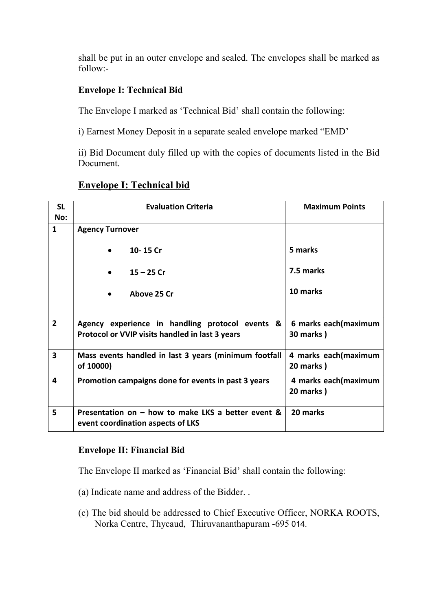shall be put in an outer envelope and sealed. The envelopes shall be marked as follow:-

#### Envelope I: Technical Bid

The Envelope I marked as 'Technical Bid' shall contain the following:

i) Earnest Money Deposit in a separate sealed envelope marked "EMD'

ii) Bid Document duly filled up with the copies of documents listed in the Bid Document.

#### Envelope I: Technical bid

| <b>SL</b><br>No:        | <b>Evaluation Criteria</b>                                                                         | <b>Maximum Points</b>                     |  |  |
|-------------------------|----------------------------------------------------------------------------------------------------|-------------------------------------------|--|--|
| 1                       | <b>Agency Turnover</b>                                                                             |                                           |  |  |
|                         | 10-15 Cr                                                                                           | 5 marks                                   |  |  |
|                         | $15 - 25$ Cr                                                                                       | 7.5 marks                                 |  |  |
|                         | Above 25 Cr                                                                                        | 10 marks                                  |  |  |
|                         |                                                                                                    |                                           |  |  |
| $\overline{2}$          | Agency experience in handling protocol events &<br>Protocol or VVIP visits handled in last 3 years | 6 marks each(maximum<br><b>30 marks</b> ) |  |  |
| $\overline{\mathbf{3}}$ | Mass events handled in last 3 years (minimum footfall<br>of 10000)                                 | 4 marks each(maximum<br>20 marks)         |  |  |
| 4                       | Promotion campaigns done for events in past 3 years                                                | 4 marks each(maximum<br>20 marks)         |  |  |
| 5                       | Presentation on - how to make LKS a better event &<br>event coordination aspects of LKS            | 20 marks                                  |  |  |

#### Envelope II: Financial Bid

The Envelope II marked as 'Financial Bid' shall contain the following:

- (a) Indicate name and address of the Bidder. .
- (c) The bid should be addressed to Chief Executive Officer, NORKA ROOTS, Norka Centre, Thycaud, Thiruvananthapuram -695 014.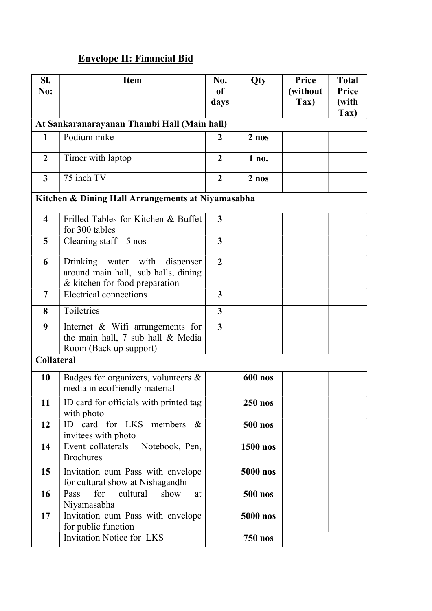## Envelope II: Financial Bid

| SI.                                               | <b>Item</b>                                                           | No.            | Qty             | Price    | <b>Total</b>    |  |
|---------------------------------------------------|-----------------------------------------------------------------------|----------------|-----------------|----------|-----------------|--|
| No:                                               |                                                                       | of             |                 | (without | Price           |  |
|                                                   |                                                                       | days           |                 | Tax)     | (with           |  |
|                                                   |                                                                       |                |                 |          | $\mathbf{Tax})$ |  |
|                                                   | At Sankaranarayanan Thambi Hall (Main hall)                           |                |                 |          |                 |  |
| $\mathbf{1}$                                      | Podium mike                                                           | $\overline{2}$ | $2$ nos         |          |                 |  |
| $\overline{2}$                                    | Timer with laptop                                                     | $\overline{2}$ | 1 no.           |          |                 |  |
| $\overline{\mathbf{3}}$                           | 75 inch TV                                                            | $\overline{2}$ | $2$ nos         |          |                 |  |
| Kitchen & Dining Hall Arrangements at Niyamasabha |                                                                       |                |                 |          |                 |  |
| $\overline{\mathbf{4}}$                           | Frilled Tables for Kitchen & Buffet                                   | $\mathbf{3}$   |                 |          |                 |  |
|                                                   | for 300 tables                                                        |                |                 |          |                 |  |
| 5                                                 | Cleaning staff $-5$ nos                                               | 3              |                 |          |                 |  |
| 6                                                 | Drinking water with<br>dispenser                                      | $\overline{2}$ |                 |          |                 |  |
|                                                   | around main hall, sub halls, dining                                   |                |                 |          |                 |  |
| $\overline{7}$                                    | & kitchen for food preparation<br><b>Electrical connections</b>       | 3              |                 |          |                 |  |
|                                                   |                                                                       |                |                 |          |                 |  |
| 8                                                 | Toiletries                                                            | $\overline{3}$ |                 |          |                 |  |
| 9                                                 | Internet $\&$ Wifi arrangements for                                   | $\overline{3}$ |                 |          |                 |  |
|                                                   | the main hall, 7 sub hall & Media                                     |                |                 |          |                 |  |
|                                                   | Room (Back up support)                                                |                |                 |          |                 |  |
| <b>Collateral</b>                                 |                                                                       |                |                 |          |                 |  |
| 10                                                | Badges for organizers, volunteers &<br>media in ecofriendly material  |                | <b>600 nos</b>  |          |                 |  |
| 11                                                | ID card for officials with printed tag<br>with photo                  |                | <b>250 nos</b>  |          |                 |  |
| 12                                                | ID card for LKS members<br>$\&$                                       |                | <b>500 nos</b>  |          |                 |  |
|                                                   | invitees with photo                                                   |                |                 |          |                 |  |
| 14                                                | Event collaterals - Notebook, Pen,<br><b>Brochures</b>                |                | <b>1500 nos</b> |          |                 |  |
| 15                                                | Invitation cum Pass with envelope<br>for cultural show at Nishagandhi |                | 5000 nos        |          |                 |  |
| 16                                                | cultural<br>Pass<br>for<br>show<br>at                                 |                | <b>500 nos</b>  |          |                 |  |
|                                                   | Niyamasabha                                                           |                |                 |          |                 |  |
| 17                                                | Invitation cum Pass with envelope<br>for public function              |                | 5000 nos        |          |                 |  |
|                                                   | Invitation Notice for LKS                                             |                | <b>750 nos</b>  |          |                 |  |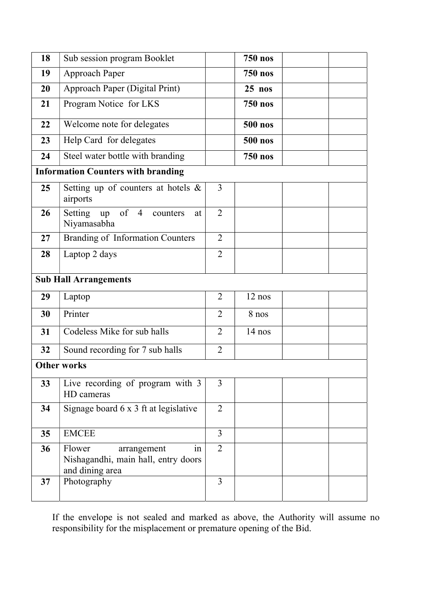| 18                                        | Sub session program Booklet                                                           |                | <b>750 nos</b> |  |  |  |
|-------------------------------------------|---------------------------------------------------------------------------------------|----------------|----------------|--|--|--|
| 19                                        | Approach Paper                                                                        |                | <b>750 nos</b> |  |  |  |
| 20                                        | Approach Paper (Digital Print)                                                        |                | $25$ nos       |  |  |  |
| 21                                        | Program Notice for LKS                                                                |                | <b>750 nos</b> |  |  |  |
| 22                                        | Welcome note for delegates                                                            |                | <b>500 nos</b> |  |  |  |
| 23                                        | Help Card for delegates                                                               |                | <b>500 nos</b> |  |  |  |
| 24                                        | Steel water bottle with branding                                                      |                | <b>750 nos</b> |  |  |  |
| <b>Information Counters with branding</b> |                                                                                       |                |                |  |  |  |
| 25                                        | Setting up of counters at hotels $\&$<br>airports                                     | 3              |                |  |  |  |
| 26                                        | up of $4$<br>Setting<br>counters<br>at<br>Niyamasabha                                 | $\overline{2}$ |                |  |  |  |
| 27                                        | <b>Branding of Information Counters</b>                                               | $\overline{2}$ |                |  |  |  |
| 28                                        | Laptop 2 days                                                                         | $\overline{2}$ |                |  |  |  |
| <b>Sub Hall Arrangements</b>              |                                                                                       |                |                |  |  |  |
| 29                                        | Laptop                                                                                | $\overline{2}$ | 12 nos         |  |  |  |
| 30                                        | Printer                                                                               | $\overline{2}$ | 8 nos          |  |  |  |
| 31                                        | Codeless Mike for sub halls                                                           | 2              | $14$ nos       |  |  |  |
| 32                                        | Sound recording for 7 sub halls                                                       | $\overline{2}$ |                |  |  |  |
| <b>Other works</b>                        |                                                                                       |                |                |  |  |  |
| 33                                        | Live recording of program with 3<br>HD cameras                                        | 3              |                |  |  |  |
| 34                                        | Signage board 6 x 3 ft at legislative                                                 | $\overline{2}$ |                |  |  |  |
| 35                                        | <b>EMCEE</b>                                                                          | $\overline{3}$ |                |  |  |  |
| 36                                        | Flower<br>arrangement<br>in<br>Nishagandhi, main hall, entry doors<br>and dining area | $\overline{2}$ |                |  |  |  |
| 37                                        | Photography                                                                           | $\overline{3}$ |                |  |  |  |

If the envelope is not sealed and marked as above, the Authority will assume no responsibility for the misplacement or premature opening of the Bid.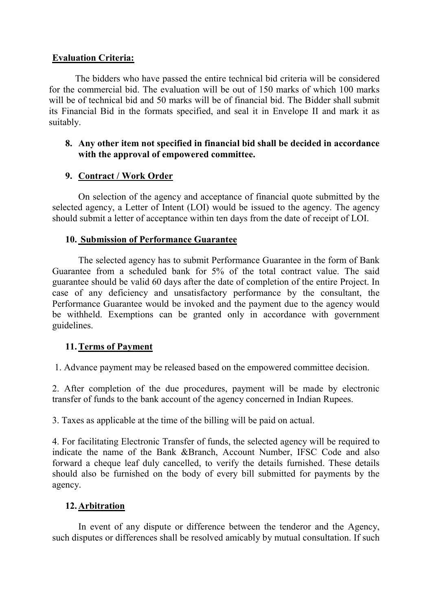#### Evaluation Criteria:

The bidders who have passed the entire technical bid criteria will be considered for the commercial bid. The evaluation will be out of 150 marks of which 100 marks will be of technical bid and 50 marks will be of financial bid. The Bidder shall submit its Financial Bid in the formats specified, and seal it in Envelope II and mark it as suitably.

#### 8. Any other item not specified in financial bid shall be decided in accordance with the approval of empowered committee.

#### 9. Contract / Work Order

On selection of the agency and acceptance of financial quote submitted by the selected agency, a Letter of Intent (LOI) would be issued to the agency. The agency should submit a letter of acceptance within ten days from the date of receipt of LOI.

#### 10. Submission of Performance Guarantee

The selected agency has to submit Performance Guarantee in the form of Bank Guarantee from a scheduled bank for 5% of the total contract value. The said guarantee should be valid 60 days after the date of completion of the entire Project. In case of any deficiency and unsatisfactory performance by the consultant, the Performance Guarantee would be invoked and the payment due to the agency would be withheld. Exemptions can be granted only in accordance with government guidelines.

#### 11.Terms of Payment

1. Advance payment may be released based on the empowered committee decision.

2. After completion of the due procedures, payment will be made by electronic transfer of funds to the bank account of the agency concerned in Indian Rupees.

3. Taxes as applicable at the time of the billing will be paid on actual.

4. For facilitating Electronic Transfer of funds, the selected agency will be required to indicate the name of the Bank &Branch, Account Number, IFSC Code and also forward a cheque leaf duly cancelled, to verify the details furnished. These details should also be furnished on the body of every bill submitted for payments by the agency.

#### 12.Arbitration

In event of any dispute or difference between the tenderor and the Agency, such disputes or differences shall be resolved amicably by mutual consultation. If such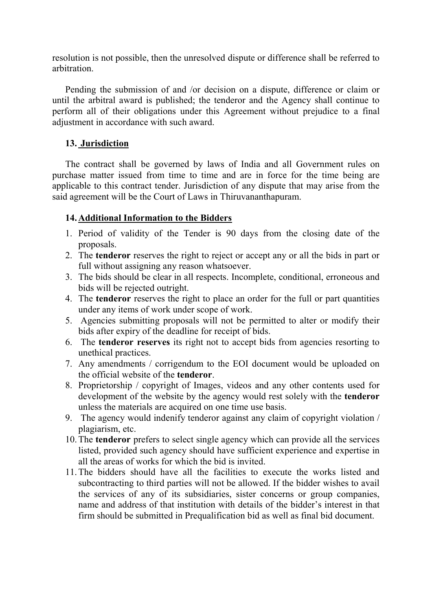resolution is not possible, then the unresolved dispute or difference shall be referred to arbitration.

Pending the submission of and /or decision on a dispute, difference or claim or until the arbitral award is published; the tenderor and the Agency shall continue to perform all of their obligations under this Agreement without prejudice to a final adjustment in accordance with such award.

#### 13. Jurisdiction

The contract shall be governed by laws of India and all Government rules on purchase matter issued from time to time and are in force for the time being are applicable to this contract tender. Jurisdiction of any dispute that may arise from the said agreement will be the Court of Laws in Thiruvananthapuram.

#### 14.Additional Information to the Bidders

- 1. Period of validity of the Tender is 90 days from the closing date of the proposals.
- 2. The tenderor reserves the right to reject or accept any or all the bids in part or full without assigning any reason whatsoever.
- 3. The bids should be clear in all respects. Incomplete, conditional, erroneous and bids will be rejected outright.
- 4. The tenderor reserves the right to place an order for the full or part quantities under any items of work under scope of work.
- 5. Agencies submitting proposals will not be permitted to alter or modify their bids after expiry of the deadline for receipt of bids.
- 6. The tenderor reserves its right not to accept bids from agencies resorting to unethical practices.
- 7. Any amendments / corrigendum to the EOI document would be uploaded on the official website of the tenderor.
- 8. Proprietorship / copyright of Images, videos and any other contents used for development of the website by the agency would rest solely with the tenderor unless the materials are acquired on one time use basis.
- 9. The agency would indenify tenderor against any claim of copyright violation / plagiarism, etc.
- 10.The tenderor prefers to select single agency which can provide all the services listed, provided such agency should have sufficient experience and expertise in all the areas of works for which the bid is invited.
- 11.The bidders should have all the facilities to execute the works listed and subcontracting to third parties will not be allowed. If the bidder wishes to avail the services of any of its subsidiaries, sister concerns or group companies, name and address of that institution with details of the bidder's interest in that firm should be submitted in Prequalification bid as well as final bid document.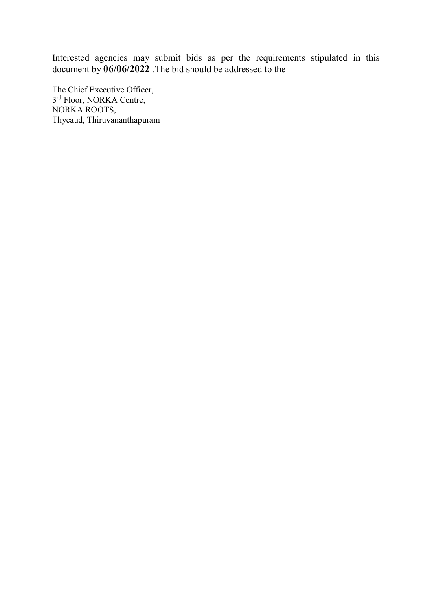Interested agencies may submit bids as per the requirements stipulated in this document by 06/06/2022 .The bid should be addressed to the

The Chief Executive Officer, 3<sup>rd</sup> Floor, NORKA Centre, NORKA ROOTS, Thycaud, Thiruvananthapuram